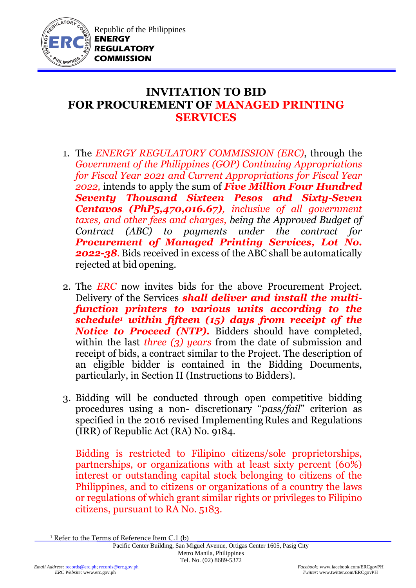

## **INVITATION TO BID FOR PROCUREMENT OF MANAGED PRINTING SERVICES**

- 1. The *ENERGY REGULATORY COMMISSION (ERC)*, through the *Government of the Philippines (GOP) Continuing Appropriations for Fiscal Year 2021 and Current Appropriations for Fiscal Year 2022,* intends to apply the sum of *Five Million Four Hundred Seventy Thousand Sixteen Pesos and Sixty-Seven Centavos (PhP5,470,016.67), inclusive of all government taxes, and other fees and charges, being the Approved Budget of Contract (ABC) to payments under the contract for Procurement of Managed Printing Services, Lot No. 2022-38.* Bids received in excess of the ABC shall be automatically rejected at bid opening.
- 2. The *ERC* now invites bids for the above Procurement Project. Delivery of the Services *shall deliver and install the multifunction printers to various units according to the schedule<sup>1</sup> within fifteen (15) days from receipt of the Notice to Proceed (NTP).* Bidders should have completed, within the last *three (3) years* from the date of submission and receipt of bids, a contract similar to the Project. The description of an eligible bidder is contained in the Bidding Documents, particularly, in Section II (Instructions to Bidders).
- 3. Bidding will be conducted through open competitive bidding procedures using a non- discretionary "*pass/fail*" criterion as specified in the 2016 revised Implementing Rules and Regulations (IRR) of Republic Act (RA) No. 9184.

Bidding is restricted to Filipino citizens/sole proprietorships, partnerships, or organizations with at least sixty percent (60%) interest or outstanding capital stock belonging to citizens of the Philippines, and to citizens or organizations of a country the laws or regulations of which grant similar rights or privileges to Filipino citizens, pursuant to RA No. 5183.

<u>.</u>

<sup>&</sup>lt;sup>1</sup> Refer to the Terms of Reference Item C.1 (b)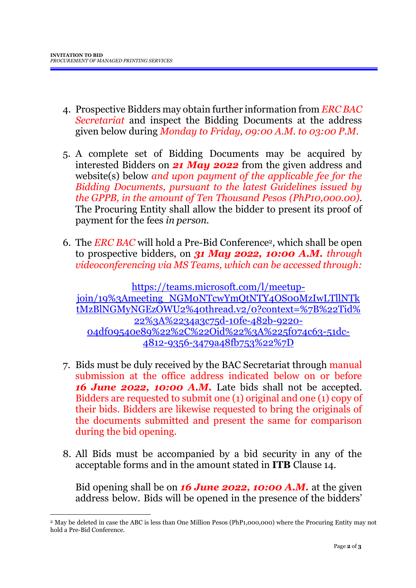<u>.</u>

- 4. Prospective Bidders may obtain further information from *ERC BAC Secretariat* and inspect the Bidding Documents at the address given below during *Monday to Friday, 09:00 A.M. to 03:00 P.M*.
- 5. A complete set of Bidding Documents may be acquired by interested Bidders on *21 May 2022* from the given address and website(s) below *and upon payment of the applicable fee for the Bidding Documents, pursuant to the latest Guidelines issued by the GPPB, in the amount of Ten Thousand Pesos (PhP10,000.00)*. The Procuring Entity shall allow the bidder to present its proof of payment for the fees *in person.*
- 6. The *ERC BAC* will hold a Pre-Bid Conference2, which shall be open to prospective bidders, on *31 May 2022, 10:00 A.M. through videoconferencing via MS Teams, which can be accessed through:*

[https://teams.microsoft.com/l/meetup](https://teams.microsoft.com/l/meetup-join/19%3Ameeting_NGM0NTcwYmQtNTY4OS00MzIwLTllNTktMzBlNGMyNGEzOWU2%40thread.v2/0?context=%7B%22Tid%22%3A%2234a3c75d-10fe-482b-9220-04df09540e89%22%2C%22Oid%22%3A%225f074c63-51dc-4812-9356-3479a48fb753%22%7D)[join/19%3Ameeting\\_NGM0NTcwYmQtNTY4OS00MzIwLTllNTk](https://teams.microsoft.com/l/meetup-join/19%3Ameeting_NGM0NTcwYmQtNTY4OS00MzIwLTllNTktMzBlNGMyNGEzOWU2%40thread.v2/0?context=%7B%22Tid%22%3A%2234a3c75d-10fe-482b-9220-04df09540e89%22%2C%22Oid%22%3A%225f074c63-51dc-4812-9356-3479a48fb753%22%7D) [tMzBlNGMyNGEzOWU2%40thread.v2/0?context=%7B%22Tid%](https://teams.microsoft.com/l/meetup-join/19%3Ameeting_NGM0NTcwYmQtNTY4OS00MzIwLTllNTktMzBlNGMyNGEzOWU2%40thread.v2/0?context=%7B%22Tid%22%3A%2234a3c75d-10fe-482b-9220-04df09540e89%22%2C%22Oid%22%3A%225f074c63-51dc-4812-9356-3479a48fb753%22%7D) [22%3A%2234a3c75d-10fe-482b-9220-](https://teams.microsoft.com/l/meetup-join/19%3Ameeting_NGM0NTcwYmQtNTY4OS00MzIwLTllNTktMzBlNGMyNGEzOWU2%40thread.v2/0?context=%7B%22Tid%22%3A%2234a3c75d-10fe-482b-9220-04df09540e89%22%2C%22Oid%22%3A%225f074c63-51dc-4812-9356-3479a48fb753%22%7D) [04df09540e89%22%2C%22Oid%22%3A%225f074c63-51dc-](https://teams.microsoft.com/l/meetup-join/19%3Ameeting_NGM0NTcwYmQtNTY4OS00MzIwLTllNTktMzBlNGMyNGEzOWU2%40thread.v2/0?context=%7B%22Tid%22%3A%2234a3c75d-10fe-482b-9220-04df09540e89%22%2C%22Oid%22%3A%225f074c63-51dc-4812-9356-3479a48fb753%22%7D)[4812-9356-3479a48fb753%22%7D](https://teams.microsoft.com/l/meetup-join/19%3Ameeting_NGM0NTcwYmQtNTY4OS00MzIwLTllNTktMzBlNGMyNGEzOWU2%40thread.v2/0?context=%7B%22Tid%22%3A%2234a3c75d-10fe-482b-9220-04df09540e89%22%2C%22Oid%22%3A%225f074c63-51dc-4812-9356-3479a48fb753%22%7D)

- 7. Bids must be duly received by the BAC Secretariat through manual submission at the office address indicated below on or before *16 June 2022, 10:00 A.M.* Late bids shall not be accepted. Bidders are requested to submit one (1) original and one (1) copy of their bids. Bidders are likewise requested to bring the originals of the documents submitted and present the same for comparison during the bid opening.
- 8. All Bids must be accompanied by a bid security in any of the acceptable forms and in the amount stated in **ITB** Clause 14.

Bid opening shall be on *16 June 2022, 10:00 A.M.* at the given address below. Bids will be opened in the presence of the bidders'

<sup>2</sup> May be deleted in case the ABC is less than One Million Pesos (PhP1,000,000) where the Procuring Entity may not hold a Pre-Bid Conference.